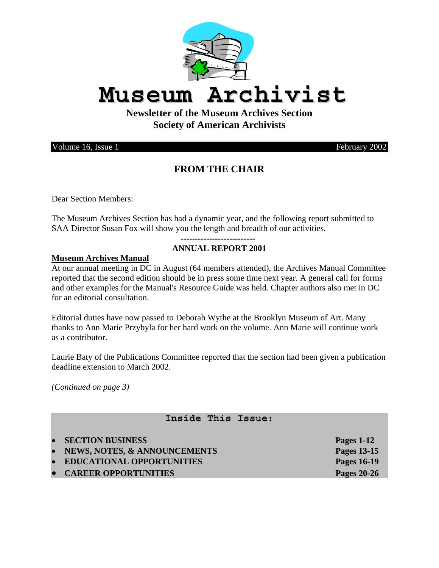

# **Museum Archivist**

**Newsletter of the Museum Archives Section Society of American Archivists** 

Volume 16, Issue 1 February 2002

# **FROM THE CHAIR**

Dear Section Members:

The Museum Archives Section has had a dynamic year, and the following report submitted to SAA Director Susan Fox will show you the length and breadth of our activities.

#### **-------------------------- ANNUAL REPORT 2001**

#### **Museum Archives Manual**

At our annual meeting in DC in August (64 members attended), the Archives Manual Committee reported that the second edition should be in press some time next year. A general call for forms and other examples for the Manual's Resource Guide was held. Chapter authors also met in DC for an editorial consultation.

Editorial duties have now passed to Deborah Wythe at the Brooklyn Museum of Art. Many thanks to Ann Marie Przybyla for her hard work on the volume. Ann Marie will continue work as a contributor.

Laurie Baty of the Publications Committee reported that the section had been given a publication deadline extension to March 2002.

*(Continued on page 3)* 

### **Inside This Issue:**

- **SECTION BUSINESS Pages 1-12**
- **NEWS, NOTES, & ANNOUNCEMENTS Pages 13-15**
- **EDUCATIONAL OPPORTUNITIES Pages 16-19**
- **CAREER OPPORTUNITIES** Pages 20-26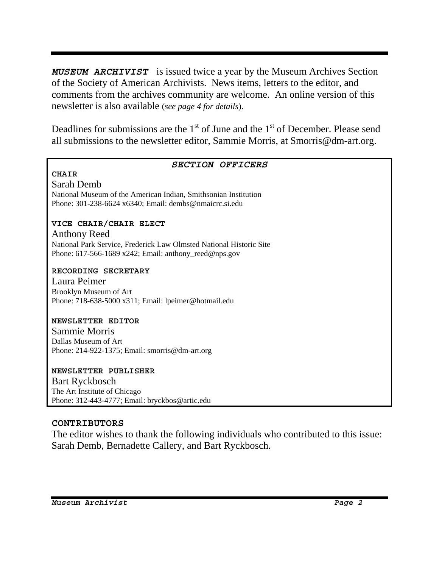*MUSEUM ARCHIVIST* is issued twice a year by the Museum Archives Section of the Society of American Archivists. News items, letters to the editor, and comments from the archives community are welcome. An online version of this newsletter is also available (*see page 4 for details*).

Deadlines for submissions are the  $1<sup>st</sup>$  of June and the  $1<sup>st</sup>$  of December. Please send all submissions to the newsletter editor, Sammie Morris, at Smorris@dm-art.org.

#### *SECTION OFFICERS*

### **CHAIR**

Sarah Demb National Museum of the American Indian, Smithsonian Institution Phone: 301-238-6624 x6340; Email: dembs@nmaicrc.si.edu

### **VICE CHAIR/CHAIR ELECT**

Anthony Reed National Park Service, Frederick Law Olmsted National Historic Site Phone:  $617-566-1689$  x242; Email: anthony reed@nps.gov

#### **RECORDING SECRETARY**

Laura Peimer Brooklyn Museum of Art Phone: 718-638-5000 x311; Email: lpeimer@hotmail.edu

#### **NEWSLETTER EDITOR**

Sammie Morris Dallas Museum of Art Phone: 214-922-1375; Email: smorris@dm-art.org

# **NEWSLETTER PUBLISHER**

Bart Ryckbosch The Art Institute of Chicago Phone: 312-443-4777; Email: bryckbos@artic.edu

#### **CONTRIBUTORS**

The editor wishes to thank the following individuals who contributed to this issue: Sarah Demb, Bernadette Callery, and Bart Ryckbosch.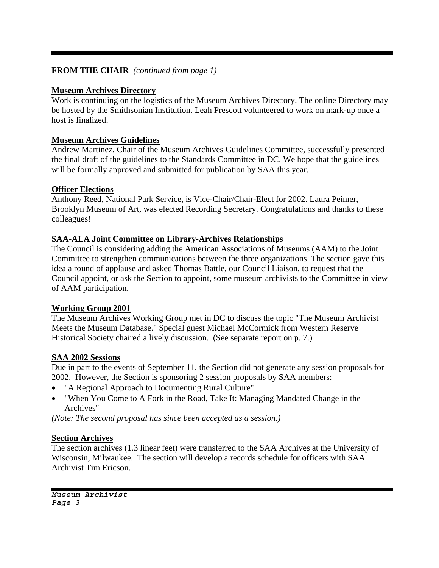### **FROM THE CHAIR** *(continued from page 1)*

#### **Museum Archives Directory**

Work is continuing on the logistics of the Museum Archives Directory. The online Directory may be hosted by the Smithsonian Institution. Leah Prescott volunteered to work on mark-up once a host is finalized.

#### **Museum Archives Guidelines**

Andrew Martinez, Chair of the Museum Archives Guidelines Committee, successfully presented the final draft of the guidelines to the Standards Committee in DC. We hope that the guidelines will be formally approved and submitted for publication by SAA this year.

#### **Officer Elections**

Anthony Reed, National Park Service, is Vice-Chair/Chair-Elect for 2002. Laura Peimer, Brooklyn Museum of Art, was elected Recording Secretary. Congratulations and thanks to these colleagues!

### **SAA-ALA Joint Committee on Library-Archives Relationships**

The Council is considering adding the American Associations of Museums (AAM) to the Joint Committee to strengthen communications between the three organizations. The section gave this idea a round of applause and asked Thomas Battle, our Council Liaison, to request that the Council appoint, or ask the Section to appoint, some museum archivists to the Committee in view of AAM participation.

#### **Working Group 2001**

The Museum Archives Working Group met in DC to discuss the topic "The Museum Archivist Meets the Museum Database." Special guest Michael McCormick from Western Reserve Historical Society chaired a lively discussion. (See separate report on p. 7.)

### **SAA 2002 Sessions**

Due in part to the events of September 11, the Section did not generate any session proposals for 2002. However, the Section is sponsoring 2 session proposals by SAA members:

- "A Regional Approach to Documenting Rural Culture"
- "When You Come to A Fork in the Road, Take It: Managing Mandated Change in the Archives"

*(Note: The second proposal has since been accepted as a session.)* 

#### **Section Archives**

The section archives (1.3 linear feet) were transferred to the SAA Archives at the University of Wisconsin, Milwaukee. The section will develop a records schedule for officers with SAA Archivist Tim Ericson.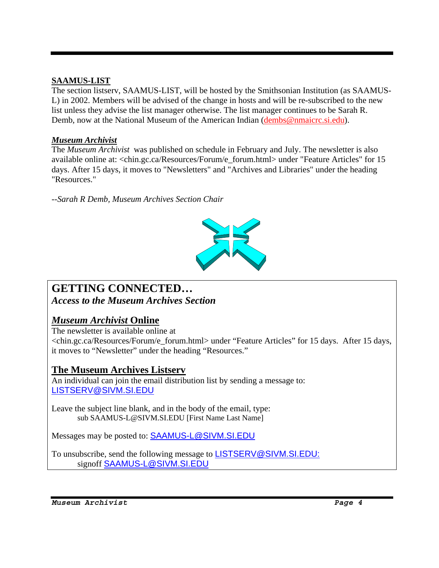### **SAAMUS-LIST**

The section listserv, SAAMUS-LIST, will be hosted by the Smithsonian Institution (as SAAMUS-L) in 2002. Members will be advised of the change in hosts and will be re-subscribed to the new list unless they advise the list manager otherwise. The list manager continues to be Sarah R. Demb, now at the National Museum of the American Indian (dembs@nmaicrc.si.edu).

### *Museum Archivist*

The *Museum Archivist* was published on schedule in February and July. The newsletter is also available online at: <chin.gc.ca/Resources/Forum/e\_forum.html> under "Feature Articles" for 15 days. After 15 days, it moves to "Newsletters" and "Archives and Libraries" under the heading "Resources."

*--Sarah R Demb, Museum Archives Section Chair*



# **GETTING CONNECTED…**

*Access to the Museum Archives Section* 

# *Museum Archivist* **Online**

The newsletter is available online at <chin.gc.ca/Resources/Forum/e\_forum.html> under "Feature Articles" for 15 days. After 15 days, it moves to "Newsletter" under the heading "Resources."

# **The Museum Archives Listserv**

An individual can join the email distribution list by sending a message to: LISTSERV@SIVM.SI.EDU

Leave the subject line blank, and in the body of the email, type: sub SAAMUS-L@SIVM.SI.EDU [First Name Last Name]

Messages may be posted to: SAAMUS-L@SIVM.SI.EDU

To unsubscribe, send the following message to LISTSERV@SIVM.SI.EDU: signoff SAAMUS-L@SIVM.SI.EDU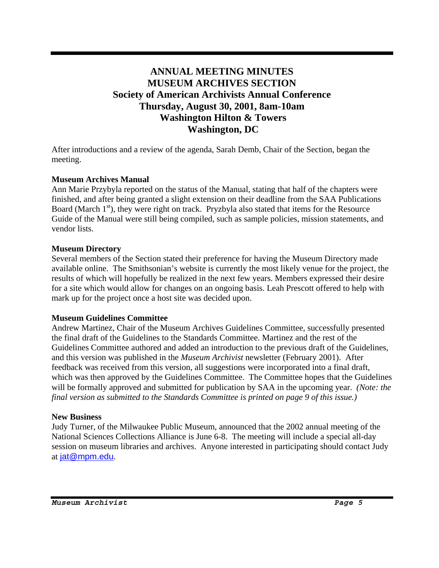# **ANNUAL MEETING MINUTES MUSEUM ARCHIVES SECTION Society of American Archivists Annual Conference Thursday, August 30, 2001, 8am-10am Washington Hilton & Towers Washington, DC**

After introductions and a review of the agenda, Sarah Demb, Chair of the Section, began the meeting.

#### **Museum Archives Manual**

Ann Marie Przybyla reported on the status of the Manual, stating that half of the chapters were finished, and after being granted a slight extension on their deadline from the SAA Publications Board (March  $1<sup>st</sup>$ ), they were right on track. Pryzbyla also stated that items for the Resource Guide of the Manual were still being compiled, such as sample policies, mission statements, and vendor lists.

#### **Museum Directory**

Several members of the Section stated their preference for having the Museum Directory made available online. The Smithsonian's website is currently the most likely venue for the project, the results of which will hopefully be realized in the next few years. Members expressed their desire for a site which would allow for changes on an ongoing basis. Leah Prescott offered to help with mark up for the project once a host site was decided upon.

### **Museum Guidelines Committee**

Andrew Martinez, Chair of the Museum Archives Guidelines Committee, successfully presented the final draft of the Guidelines to the Standards Committee. Martinez and the rest of the Guidelines Committee authored and added an introduction to the previous draft of the Guidelines, and this version was published in the *Museum Archivist* newsletter (February 2001). After feedback was received from this version, all suggestions were incorporated into a final draft, which was then approved by the Guidelines Committee. The Committee hopes that the Guidelines will be formally approved and submitted for publication by SAA in the upcoming year. *(Note: the final version as submitted to the Standards Committee is printed on page 9 of this issue.)*

#### **New Business**

Judy Turner, of the Milwaukee Public Museum, announced that the 2002 annual meeting of the National Sciences Collections Alliance is June 6-8. The meeting will include a special all-day session on museum libraries and archives. Anyone interested in participating should contact Judy at jat@mpm.edu.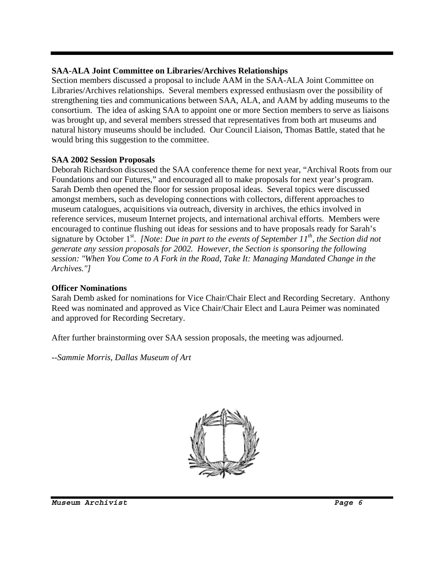### **SAA-ALA Joint Committee on Libraries/Archives Relationships**

Section members discussed a proposal to include AAM in the SAA-ALA Joint Committee on Libraries/Archives relationships. Several members expressed enthusiasm over the possibility of strengthening ties and communications between SAA, ALA, and AAM by adding museums to the consortium. The idea of asking SAA to appoint one or more Section members to serve as liaisons was brought up, and several members stressed that representatives from both art museums and natural history museums should be included. Our Council Liaison, Thomas Battle, stated that he would bring this suggestion to the committee.

### **SAA 2002 Session Proposals**

Deborah Richardson discussed the SAA conference theme for next year, "Archival Roots from our Foundations and our Futures," and encouraged all to make proposals for next year's program. Sarah Demb then opened the floor for session proposal ideas. Several topics were discussed amongst members, such as developing connections with collectors, different approaches to museum catalogues, acquisitions via outreach, diversity in archives, the ethics involved in reference services, museum Internet projects, and international archival efforts. Members were encouraged to continue flushing out ideas for sessions and to have proposals ready for Sarah's signature by October 1<sup>st</sup>. *[Note: Due in part to the events of September 11<sup>th</sup>, the Section did not generate any session proposals for 2002. However, the Section is sponsoring the following session: "When You Come to A Fork in the Road, Take It: Managing Mandated Change in the Archives."]* 

### **Officer Nominations**

Sarah Demb asked for nominations for Vice Chair/Chair Elect and Recording Secretary. Anthony Reed was nominated and approved as Vice Chair/Chair Elect and Laura Peimer was nominated and approved for Recording Secretary.

After further brainstorming over SAA session proposals, the meeting was adjourned.

*--Sammie Morris, Dallas Museum of Art* 

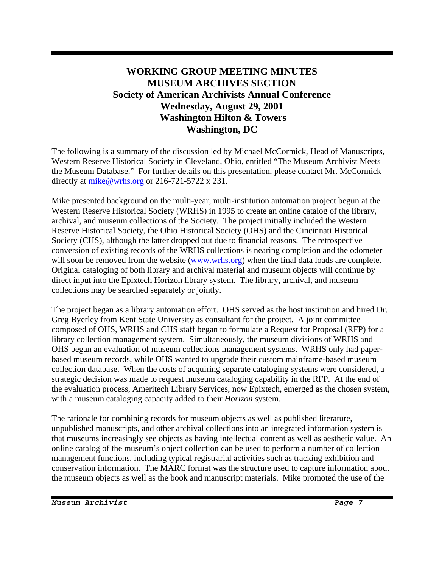# **WORKING GROUP MEETING MINUTES MUSEUM ARCHIVES SECTION Society of American Archivists Annual Conference Wednesday, August 29, 2001 Washington Hilton & Towers Washington, DC**

The following is a summary of the discussion led by Michael McCormick, Head of Manuscripts, Western Reserve Historical Society in Cleveland, Ohio, entitled "The Museum Archivist Meets the Museum Database." For further details on this presentation, please contact Mr. McCormick directly at  $mike@wrhs.org$  or 216-721-5722 x 231.

Mike presented background on the multi-year, multi-institution automation project begun at the Western Reserve Historical Society (WRHS) in 1995 to create an online catalog of the library, archival, and museum collections of the Society. The project initially included the Western Reserve Historical Society, the Ohio Historical Society (OHS) and the Cincinnati Historical Society (CHS), although the latter dropped out due to financial reasons. The retrospective conversion of existing records of the WRHS collections is nearing completion and the odometer will soon be removed from the website (www.wrhs.org) when the final data loads are complete. Original cataloging of both library and archival material and museum objects will continue by direct input into the Epixtech Horizon library system. The library, archival, and museum collections may be searched separately or jointly.

The project began as a library automation effort. OHS served as the host institution and hired Dr. Greg Byerley from Kent State University as consultant for the project. A joint committee composed of OHS, WRHS and CHS staff began to formulate a Request for Proposal (RFP) for a library collection management system. Simultaneously, the museum divisions of WRHS and OHS began an evaluation of museum collections management systems. WRHS only had paperbased museum records, while OHS wanted to upgrade their custom mainframe-based museum collection database. When the costs of acquiring separate cataloging systems were considered, a strategic decision was made to request museum cataloging capability in the RFP. At the end of the evaluation process, Ameritech Library Services, now Epixtech, emerged as the chosen system, with a museum cataloging capacity added to their *Horizon* system.

The rationale for combining records for museum objects as well as published literature, unpublished manuscripts, and other archival collections into an integrated information system is that museums increasingly see objects as having intellectual content as well as aesthetic value. An online catalog of the museum's object collection can be used to perform a number of collection management functions, including typical registrarial activities such as tracking exhibition and conservation information. The MARC format was the structure used to capture information about the museum objects as well as the book and manuscript materials. Mike promoted the use of the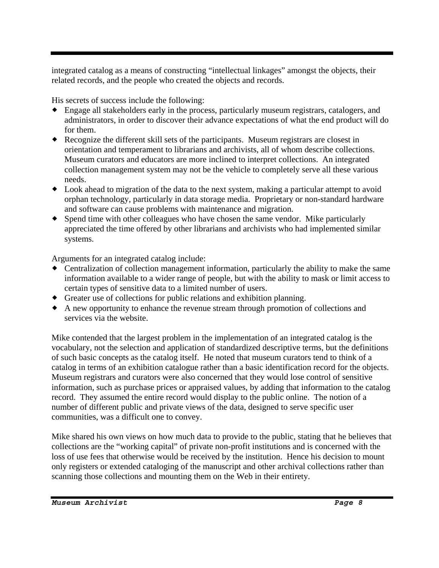integrated catalog as a means of constructing "intellectual linkages" amongst the objects, their related records, and the people who created the objects and records.

His secrets of success include the following:

- Engage all stakeholders early in the process, particularly museum registrars, catalogers, and administrators, in order to discover their advance expectations of what the end product will do for them.
- Recognize the different skill sets of the participants. Museum registrars are closest in orientation and temperament to librarians and archivists, all of whom describe collections. Museum curators and educators are more inclined to interpret collections. An integrated collection management system may not be the vehicle to completely serve all these various needs.
- Look ahead to migration of the data to the next system, making a particular attempt to avoid orphan technology, particularly in data storage media. Proprietary or non-standard hardware and software can cause problems with maintenance and migration.
- Spend time with other colleagues who have chosen the same vendor. Mike particularly appreciated the time offered by other librarians and archivists who had implemented similar systems.

Arguments for an integrated catalog include:

- Centralization of collection management information, particularly the ability to make the same information available to a wider range of people, but with the ability to mask or limit access to certain types of sensitive data to a limited number of users.
- Greater use of collections for public relations and exhibition planning.
- A new opportunity to enhance the revenue stream through promotion of collections and services via the website.

Mike contended that the largest problem in the implementation of an integrated catalog is the vocabulary, not the selection and application of standardized descriptive terms, but the definitions of such basic concepts as the catalog itself. He noted that museum curators tend to think of a catalog in terms of an exhibition catalogue rather than a basic identification record for the objects. Museum registrars and curators were also concerned that they would lose control of sensitive information, such as purchase prices or appraised values, by adding that information to the catalog record. They assumed the entire record would display to the public online. The notion of a number of different public and private views of the data, designed to serve specific user communities, was a difficult one to convey.

Mike shared his own views on how much data to provide to the public, stating that he believes that collections are the "working capital" of private non-profit institutions and is concerned with the loss of use fees that otherwise would be received by the institution. Hence his decision to mount only registers or extended cataloging of the manuscript and other archival collections rather than scanning those collections and mounting them on the Web in their entirety.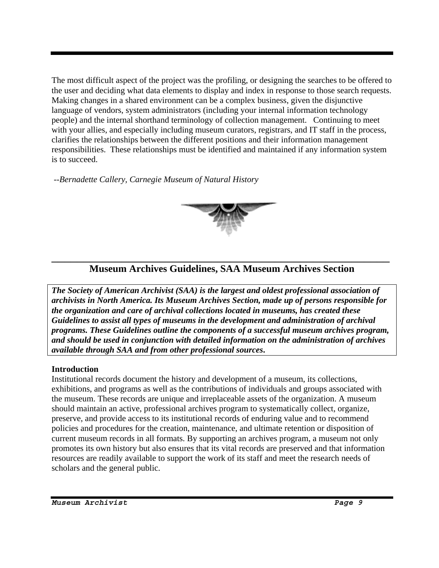The most difficult aspect of the project was the profiling, or designing the searches to be offered to the user and deciding what data elements to display and index in response to those search requests. Making changes in a shared environment can be a complex business, given the disjunctive language of vendors, system administrators (including your internal information technology people) and the internal shorthand terminology of collection management. Continuing to meet with your allies, and especially including museum curators, registrars, and IT staff in the process, clarifies the relationships between the different positions and their information management responsibilities. These relationships must be identified and maintained if any information system is to succeed.

 *--Bernadette Callery, Carnegie Museum of Natural History*



# \_\_\_\_\_\_\_\_\_\_\_\_\_\_\_\_\_\_\_\_\_\_\_\_\_\_\_\_\_\_\_\_\_\_\_\_\_\_\_\_\_\_\_\_\_\_\_\_\_\_\_\_\_ **Museum Archives Guidelines, SAA Museum Archives Section**

*The Society of American Archivist (SAA) is the largest and oldest professional association of archivists in North America. Its Museum Archives Section, made up of persons responsible for the organization and care of archival collections located in museums, has created these Guidelines to assist all types of museums in the development and administration of archival programs. These Guidelines outline the components of a successful museum archives program, and should be used in conjunction with detailed information on the administration of archives available through SAA and from other professional sources***.**

#### **Introduction**

Institutional records document the history and development of a museum, its collections, exhibitions, and programs as well as the contributions of individuals and groups associated with the museum. These records are unique and irreplaceable assets of the organization. A museum should maintain an active, professional archives program to systematically collect, organize, preserve, and provide access to its institutional records of enduring value and to recommend policies and procedures for the creation, maintenance, and ultimate retention or disposition of current museum records in all formats. By supporting an archives program, a museum not only promotes its own history but also ensures that its vital records are preserved and that information resources are readily available to support the work of its staff and meet the research needs of scholars and the general public.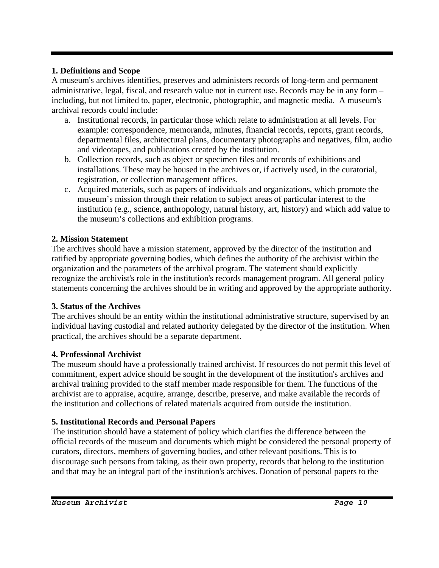### **1. Definitions and Scope**

A museum's archives identifies, preserves and administers records of long-term and permanent administrative, legal, fiscal, and research value not in current use. Records may be in any form – including, but not limited to, paper, electronic, photographic, and magnetic media. A museum's archival records could include:

- a. Institutional records, in particular those which relate to administration at all levels. For example: correspondence, memoranda, minutes, financial records, reports, grant records, departmental files, architectural plans, documentary photographs and negatives, film, audio and videotapes, and publications created by the institution.
- b. Collection records, such as object or specimen files and records of exhibitions and installations. These may be housed in the archives or, if actively used, in the curatorial, registration, or collection management offices.
- c. Acquired materials, such as papers of individuals and organizations, which promote the museum's mission through their relation to subject areas of particular interest to the institution (e.g., science, anthropology, natural history, art, history) and which add value to the museum's collections and exhibition programs.

# **2. Mission Statement**

The archives should have a mission statement, approved by the director of the institution and ratified by appropriate governing bodies, which defines the authority of the archivist within the organization and the parameters of the archival program. The statement should explicitly recognize the archivist's role in the institution's records management program. All general policy statements concerning the archives should be in writing and approved by the appropriate authority.

# **3. Status of the Archives**

The archives should be an entity within the institutional administrative structure, supervised by an individual having custodial and related authority delegated by the director of the institution. When practical, the archives should be a separate department.

# **4. Professional Archivist**

The museum should have a professionally trained archivist. If resources do not permit this level of commitment, expert advice should be sought in the development of the institution's archives and archival training provided to the staff member made responsible for them. The functions of the archivist are to appraise, acquire, arrange, describe, preserve, and make available the records of the institution and collections of related materials acquired from outside the institution.

# **5. Institutional Records and Personal Papers**

The institution should have a statement of policy which clarifies the difference between the official records of the museum and documents which might be considered the personal property of curators, directors, members of governing bodies, and other relevant positions. This is to discourage such persons from taking, as their own property, records that belong to the institution and that may be an integral part of the institution's archives. Donation of personal papers to the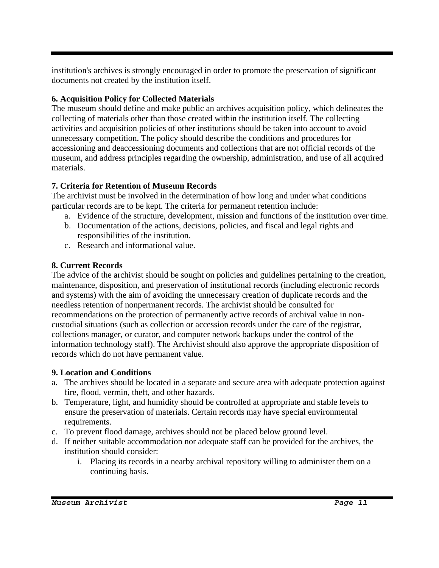institution's archives is strongly encouraged in order to promote the preservation of significant documents not created by the institution itself.

### **6. Acquisition Policy for Collected Materials**

The museum should define and make public an archives acquisition policy, which delineates the collecting of materials other than those created within the institution itself. The collecting activities and acquisition policies of other institutions should be taken into account to avoid unnecessary competition. The policy should describe the conditions and procedures for accessioning and deaccessioning documents and collections that are not official records of the museum, and address principles regarding the ownership, administration, and use of all acquired materials.

### **7. Criteria for Retention of Museum Records**

The archivist must be involved in the determination of how long and under what conditions particular records are to be kept. The criteria for permanent retention include:

- a. Evidence of the structure, development, mission and functions of the institution over time.
- b. Documentation of the actions, decisions, policies, and fiscal and legal rights and responsibilities of the institution.
- c. Research and informational value.

### **8. Current Records**

The advice of the archivist should be sought on policies and guidelines pertaining to the creation, maintenance, disposition, and preservation of institutional records (including electronic records and systems) with the aim of avoiding the unnecessary creation of duplicate records and the needless retention of nonpermanent records. The archivist should be consulted for recommendations on the protection of permanently active records of archival value in noncustodial situations (such as collection or accession records under the care of the registrar, collections manager, or curator, and computer network backups under the control of the information technology staff). The Archivist should also approve the appropriate disposition of records which do not have permanent value.

### **9. Location and Conditions**

- a. The archives should be located in a separate and secure area with adequate protection against fire, flood, vermin, theft, and other hazards.
- b. Temperature, light, and humidity should be controlled at appropriate and stable levels to ensure the preservation of materials. Certain records may have special environmental requirements.
- c. To prevent flood damage, archives should not be placed below ground level.
- d. If neither suitable accommodation nor adequate staff can be provided for the archives, the institution should consider:
	- i. Placing its records in a nearby archival repository willing to administer them on a continuing basis.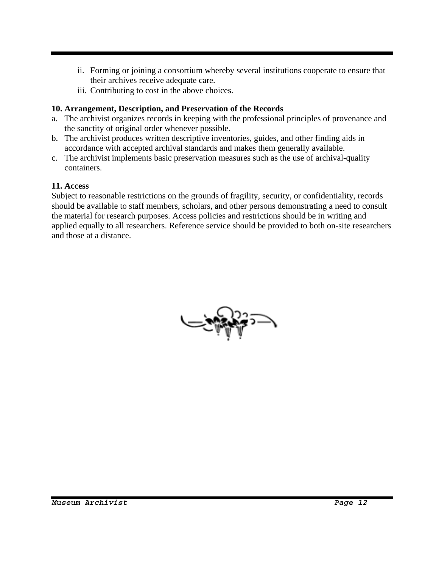- ii. Forming or joining a consortium whereby several institutions cooperate to ensure that their archives receive adequate care.
- iii. Contributing to cost in the above choices.

#### **10. Arrangement, Description, and Preservation of the Records**

- a. The archivist organizes records in keeping with the professional principles of provenance and the sanctity of original order whenever possible.
- b. The archivist produces written descriptive inventories, guides, and other finding aids in accordance with accepted archival standards and makes them generally available.
- c. The archivist implements basic preservation measures such as the use of archival**-**quality containers.

### **11. Access**

Subject to reasonable restrictions on the grounds of fragility, security, or confidentiality, records should be available to staff members, scholars, and other persons demonstrating a need to consult the material for research purposes. Access policies and restrictions should be in writing and applied equally to all researchers. Reference service should be provided to both on-site researchers and those at a distance.

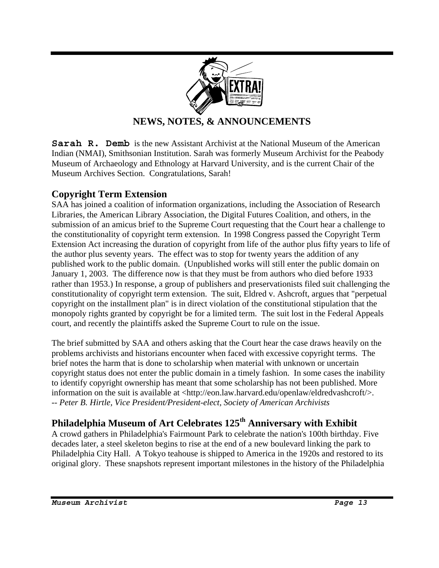

# **NEWS, NOTES, & ANNOUNCEMENTS**

**Sarah R. Demb** is the new Assistant Archivist at the National Museum of the American Indian (NMAI), Smithsonian Institution. Sarah was formerly Museum Archivist for the Peabody Museum of Archaeology and Ethnology at Harvard University, and is the current Chair of the Museum Archives Section. Congratulations, Sarah!

# **Copyright Term Extension**

SAA has joined a coalition of information organizations, including the Association of Research Libraries, the American Library Association, the Digital Futures Coalition, and others, in the submission of an amicus brief to the Supreme Court requesting that the Court hear a challenge to the constitutionality of copyright term extension. In 1998 Congress passed the Copyright Term Extension Act increasing the duration of copyright from life of the author plus fifty years to life of the author plus seventy years. The effect was to stop for twenty years the addition of any published work to the public domain. (Unpublished works will still enter the public domain on January 1, 2003. The difference now is that they must be from authors who died before 1933 rather than 1953.) In response, a group of publishers and preservationists filed suit challenging the constitutionality of copyright term extension. The suit, Eldred v. Ashcroft, argues that "perpetual copyright on the installment plan" is in direct violation of the constitutional stipulation that the monopoly rights granted by copyright be for a limited term. The suit lost in the Federal Appeals court, and recently the plaintiffs asked the Supreme Court to rule on the issue.

The brief submitted by SAA and others asking that the Court hear the case draws heavily on the problems archivists and historians encounter when faced with excessive copyright terms. The brief notes the harm that is done to scholarship when material with unknown or uncertain copyright status does not enter the public domain in a timely fashion. In some cases the inability to identify copyright ownership has meant that some scholarship has not been published. More information on the suit is available at <http://eon.law.harvard.edu/openlaw/eldredvashcroft/>. *-- Peter B. Hirtle, Vice President/President-elect, Society of American Archivists* 

# **Philadelphia Museum of Art Celebrates 125th Anniversary with Exhibit**

A crowd gathers in Philadelphia's Fairmount Park to celebrate the nation's 100th birthday. Five decades later, a steel skeleton begins to rise at the end of a new boulevard linking the park to Philadelphia City Hall. A Tokyo teahouse is shipped to America in the 1920s and restored to its original glory. These snapshots represent important milestones in the history of the Philadelphia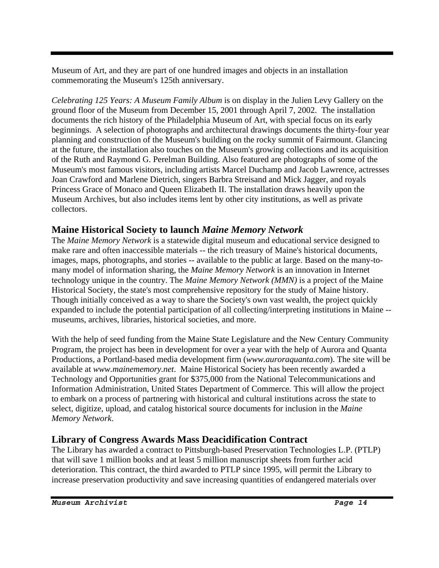Museum of Art, and they are part of one hundred images and objects in an installation commemorating the Museum's 125th anniversary.

*Celebrating 125 Years: A Museum Family Album* is on display in the Julien Levy Gallery on the ground floor of the Museum from December 15, 2001 through April 7, 2002. The installation documents the rich history of the Philadelphia Museum of Art, with special focus on its early beginnings. A selection of photographs and architectural drawings documents the thirty-four year planning and construction of the Museum's building on the rocky summit of Fairmount. Glancing at the future, the installation also touches on the Museum's growing collections and its acquisition of the Ruth and Raymond G. Perelman Building. Also featured are photographs of some of the Museum's most famous visitors, including artists Marcel Duchamp and Jacob Lawrence, actresses Joan Crawford and Marlene Dietrich, singers Barbra Streisand and Mick Jagger, and royals Princess Grace of Monaco and Queen Elizabeth II. The installation draws heavily upon the Museum Archives, but also includes items lent by other city institutions, as well as private collectors.

# **Maine Historical Society to launch** *Maine Memory Network*

The *Maine Memory Network* is a statewide digital museum and educational service designed to make rare and often inaccessible materials -- the rich treasury of Maine's historical documents, images, maps, photographs, and stories -- available to the public at large. Based on the many-tomany model of information sharing, the *Maine Memory Network* is an innovation in Internet technology unique in the country. The *Maine Memory Network (MMN)* is a project of the Maine Historical Society, the state's most comprehensive repository for the study of Maine history. Though initially conceived as a way to share the Society's own vast wealth, the project quickly expanded to include the potential participation of all collecting/interpreting institutions in Maine - museums, archives, libraries, historical societies, and more.

With the help of seed funding from the Maine State Legislature and the New Century Community Program, the project has been in development for over a year with the help of Aurora and Quanta Productions, a Portland-based media development firm (*www.auroraquanta.com*). The site will be available at *www.mainememory.net*. Maine Historical Society has been recently awarded a Technology and Opportunities grant for \$375,000 from the National Telecommunications and Information Administration, United States Department of Commerce*.* This will allow the project to embark on a process of partnering with historical and cultural institutions across the state to select, digitize, upload, and catalog historical source documents for inclusion in the *Maine Memory Network*.

# **Library of Congress Awards Mass Deacidification Contract**

The Library has awarded a contract to Pittsburgh-based Preservation Technologies L.P. (PTLP) that will save 1 million books and at least 5 million manuscript sheets from further acid deterioration. This contract, the third awarded to PTLP since 1995, will permit the Library to increase preservation productivity and save increasing quantities of endangered materials over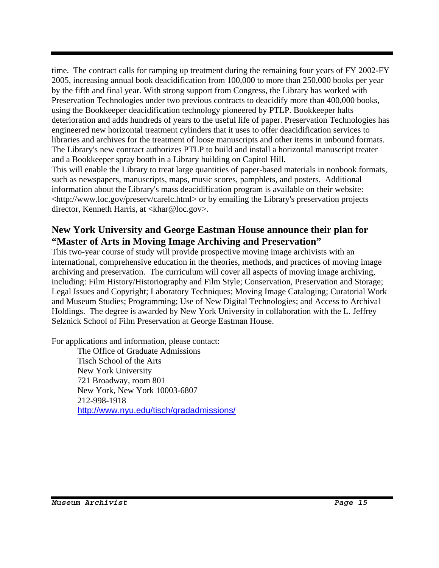time. The contract calls for ramping up treatment during the remaining four years of FY 2002-FY 2005, increasing annual book deacidification from 100,000 to more than 250,000 books per year by the fifth and final year. With strong support from Congress, the Library has worked with Preservation Technologies under two previous contracts to deacidify more than 400,000 books, using the Bookkeeper deacidification technology pioneered by PTLP. Bookkeeper halts deterioration and adds hundreds of years to the useful life of paper. Preservation Technologies has engineered new horizontal treatment cylinders that it uses to offer deacidification services to libraries and archives for the treatment of loose manuscripts and other items in unbound formats. The Library's new contract authorizes PTLP to build and install a horizontal manuscript treater and a Bookkeeper spray booth in a Library building on Capitol Hill.

This will enable the Library to treat large quantities of paper-based materials in nonbook formats, such as newspapers, manuscripts, maps, music scores, pamphlets, and posters. Additional information about the Library's mass deacidification program is available on their website: <http://www.loc.gov/preserv/carelc.html> or by emailing the Library's preservation projects director, Kenneth Harris, at <khar@loc.gov>.

# **New York University and George Eastman House announce their plan for "Master of Arts in Moving Image Archiving and Preservation"**

This two-year course of study will provide prospective moving image archivists with an international, comprehensive education in the theories, methods, and practices of moving image archiving and preservation. The curriculum will cover all aspects of moving image archiving, including: Film History/Historiography and Film Style; Conservation, Preservation and Storage; Legal Issues and Copyright; Laboratory Techniques; Moving Image Cataloging; Curatorial Work and Museum Studies; Programming; Use of New Digital Technologies; and Access to Archival Holdings. The degree is awarded by New York University in collaboration with the L. Jeffrey Selznick School of Film Preservation at George Eastman House.

For applications and information, please contact:

The Office of Graduate Admissions Tisch School of the Arts New York University 721 Broadway, room 801 New York, New York 10003-6807 212-998-1918 http://www.nyu.edu/tisch/gradadmissions/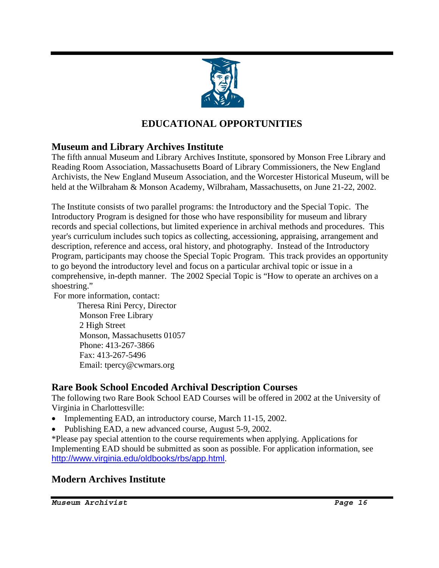

# **EDUCATIONAL OPPORTUNITIES**

# **Museum and Library Archives Institute**

The fifth annual Museum and Library Archives Institute, sponsored by Monson Free Library and Reading Room Association, Massachusetts Board of Library Commissioners, the New England Archivists, the New England Museum Association, and the Worcester Historical Museum, will be held at the Wilbraham & Monson Academy, Wilbraham, Massachusetts, on June 21-22, 2002.

The Institute consists of two parallel programs: the Introductory and the Special Topic. The Introductory Program is designed for those who have responsibility for museum and library records and special collections, but limited experience in archival methods and procedures. This year's curriculum includes such topics as collecting, accessioning, appraising, arrangement and description, reference and access, oral history, and photography. Instead of the Introductory Program, participants may choose the Special Topic Program. This track provides an opportunity to go beyond the introductory level and focus on a particular archival topic or issue in a comprehensive, in-depth manner. The 2002 Special Topic is "How to operate an archives on a shoestring."

For more information, contact:

Theresa Rini Percy, Director Monson Free Library 2 High Street Monson, Massachusetts 01057 Phone: 413-267-3866 Fax: 413-267-5496 Email: tpercy@cwmars.org

# **Rare Book School Encoded Archival Description Courses**

The following two Rare Book School EAD Courses will be offered in 2002 at the University of Virginia in Charlottesville:

- Implementing EAD, an introductory course, March 11-15, 2002.
- Publishing EAD, a new advanced course, August 5-9, 2002.

\*Please pay special attention to the course requirements when applying. Applications for Implementing EAD should be submitted as soon as possible. For application information, see http://www.virginia.edu/oldbooks/rbs/app.html.

# **Modern Archives Institute**

*Museum Archivist Page 16*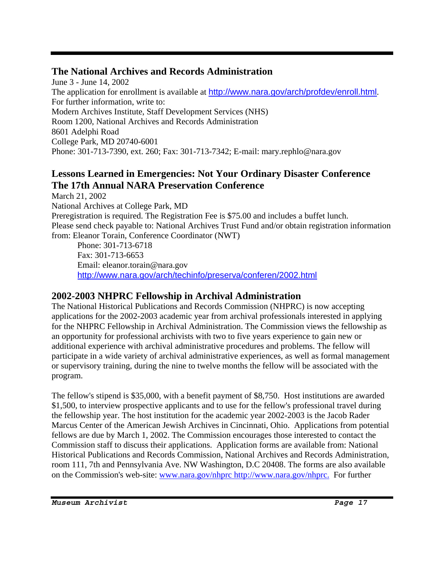# **The National Archives and Records Administration**

June 3 - June 14, 2002 The application for enrollment is available at http://www.nara.gov/arch/profdev/enroll.html. For further information, write to: Modern Archives Institute, Staff Development Services (NHS) Room 1200, National Archives and Records Administration 8601 Adelphi Road College Park, MD 20740-6001 Phone: 301-713-7390, ext. 260; Fax: 301-713-7342; E-mail: mary.rephlo@nara.gov

# **Lessons Learned in Emergencies: Not Your Ordinary Disaster Conference The 17th Annual NARA Preservation Conference**

March 21, 2002 National Archives at College Park, MD Preregistration is required. The Registration Fee is \$75.00 and includes a buffet lunch. Please send check payable to: National Archives Trust Fund and/or obtain registration information from: Eleanor Torain, Conference Coordinator (NWT)

Phone: 301-713-6718 Fax: 301-713-6653 Email: eleanor.torain@nara.gov http://www.nara.gov/arch/techinfo/preserva/conferen/2002.html

# **2002-2003 NHPRC Fellowship in Archival Administration**

The National Historical Publications and Records Commission (NHPRC) is now accepting applications for the 2002-2003 academic year from archival professionals interested in applying for the NHPRC Fellowship in Archival Administration. The Commission views the fellowship as an opportunity for professional archivists with two to five years experience to gain new or additional experience with archival administrative procedures and problems. The fellow will participate in a wide variety of archival administrative experiences, as well as formal management or supervisory training, during the nine to twelve months the fellow will be associated with the program.

The fellow's stipend is \$35,000, with a benefit payment of \$8,750. Host institutions are awarded \$1,500, to interview prospective applicants and to use for the fellow's professional travel during the fellowship year. The host institution for the academic year 2002-2003 is the Jacob Rader Marcus Center of the American Jewish Archives in Cincinnati, Ohio. Applications from potential fellows are due by March 1, 2002. The Commission encourages those interested to contact the Commission staff to discuss their applications. Application forms are available from: National Historical Publications and Records Commission, National Archives and Records Administration, room 111, 7th and Pennsylvania Ave. NW Washington, D.C 20408. The forms are also available on the Commission's web-site: www.nara.gov/nhprc http://www.nara.gov/nhprc. For further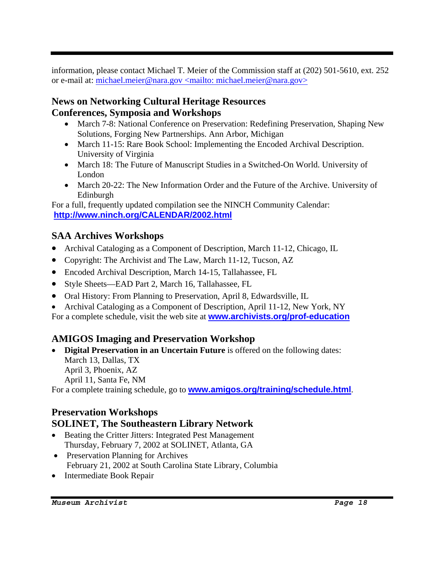information, please contact Michael T. Meier of the Commission staff at (202) 501-5610, ext. 252 or e-mail at: michael.meier@nara.gov <mailto: michael.meier@nara.gov>

# **News on Networking Cultural Heritage Resources Conferences, Symposia and Workshops**

- March 7-8: National Conference on Preservation: Redefining Preservation, Shaping New Solutions, Forging New Partnerships. Ann Arbor, Michigan
- March 11-15: Rare Book School: Implementing the Encoded Archival Description. University of Virginia
- March 18: The Future of Manuscript Studies in a Switched-On World. University of London
- March 20-22: The New Information Order and the Future of the Archive. University of Edinburgh

For a full, frequently updated compilation see the NINCH Community Calendar: **http://www.ninch.org/CALENDAR/2002.html**

# **SAA Archives Workshops**

- Archival Cataloging as a Component of Description, March 11-12, Chicago, IL
- Copyright: The Archivist and The Law, March 11-12, Tucson, AZ
- Encoded Archival Description, March 14-15, Tallahassee, FL
- Style Sheets—EAD Part 2, March 16, Tallahassee, FL
- Oral History: From Planning to Preservation, April 8, Edwardsville, IL
- Archival Cataloging as a Component of Description, April 11-12, New York, NY

For a complete schedule, visit the web site at **www.archivists.org/prof-education**

# **AMIGOS Imaging and Preservation Workshop**

• **Digital Preservation in an Uncertain Future** is offered on the following dates: March 13, Dallas, TX April 3, Phoenix, AZ April 11, Santa Fe, NM

For a complete training schedule, go to **www.amigos.org/training/schedule.html**.

# **Preservation Workshops SOLINET, The Southeastern Library Network**

- Beating the Critter Jitters: Integrated Pest Management Thursday, February 7, 2002 at SOLINET, Atlanta, GA
- Preservation Planning for Archives February 21, 2002 at South Carolina State Library, Columbia
- Intermediate Book Repair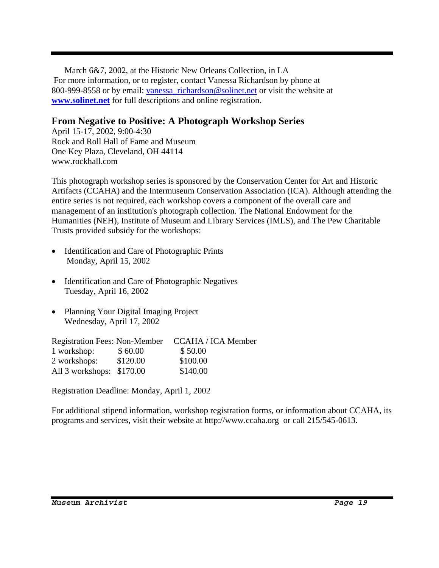March 6&7, 2002, at the Historic New Orleans Collection, in LA For more information, or to register, contact Vanessa Richardson by phone at 800-999-8558 or by email: vanessa\_richardson@solinet.net or visit the website at **www.solinet.net** for full descriptions and online registration.

# **From Negative to Positive: A Photograph Workshop Series**

April 15-17, 2002, 9:00-4:30 Rock and Roll Hall of Fame and Museum One Key Plaza, Cleveland, OH 44114 www.rockhall.com

This photograph workshop series is sponsored by the Conservation Center for Art and Historic Artifacts (CCAHA) and the Intermuseum Conservation Association (ICA). Although attending the entire series is not required, each workshop covers a component of the overall care and management of an institution's photograph collection. The National Endowment for the Humanities (NEH), Institute of Museum and Library Services (IMLS), and The Pew Charitable Trusts provided subsidy for the workshops:

- Identification and Care of Photographic Prints Monday, April 15, 2002
- Identification and Care of Photographic Negatives Tuesday, April 16, 2002
- Planning Your Digital Imaging Project Wednesday, April 17, 2002

Registration Fees: Non-Member CCAHA / ICA Member 1 workshop: \$ 60.00 \$ 50.00 2 workshops: \$120.00 \$100.00 All 3 workshops: \$170.00 \$140.00

Registration Deadline: Monday, April 1, 2002

For additional stipend information, workshop registration forms, or information about CCAHA, its programs and services, visit their website at http://www.ccaha.org or call 215/545-0613.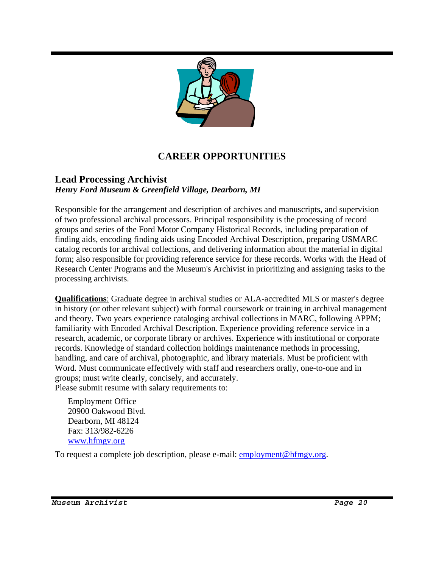

# **CAREER OPPORTUNITIES**

### **Lead Processing Archivist** *Henry Ford Museum & Greenfield Village, Dearborn, MI*

Responsible for the arrangement and description of archives and manuscripts, and supervision of two professional archival processors. Principal responsibility is the processing of record groups and series of the Ford Motor Company Historical Records, including preparation of finding aids, encoding finding aids using Encoded Archival Description, preparing USMARC catalog records for archival collections, and delivering information about the material in digital form; also responsible for providing reference service for these records. Works with the Head of Research Center Programs and the Museum's Archivist in prioritizing and assigning tasks to the processing archivists.

**Qualifications**: Graduate degree in archival studies or ALA-accredited MLS or master's degree in history (or other relevant subject) with formal coursework or training in archival management and theory. Two years experience cataloging archival collections in MARC, following APPM; familiarity with Encoded Archival Description. Experience providing reference service in a research, academic, or corporate library or archives. Experience with institutional or corporate records. Knowledge of standard collection holdings maintenance methods in processing, handling, and care of archival, photographic, and library materials. Must be proficient with Word. Must communicate effectively with staff and researchers orally, one-to-one and in groups; must write clearly, concisely, and accurately. Please submit resume with salary requirements to:

Employment Office 20900 Oakwood Blvd. Dearborn, MI 48124 Fax: 313/982-6226 www.hfmgv.org

To request a complete job description, please e-mail: **employment@hfmgv.org.**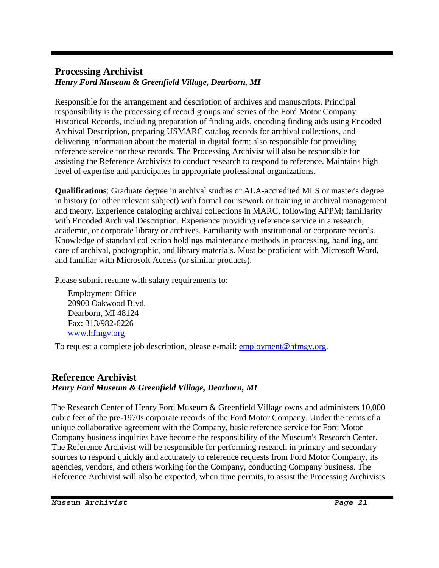### **Processing Archivist** *Henry Ford Museum & Greenfield Village, Dearborn, MI*

Responsible for the arrangement and description of archives and manuscripts. Principal responsibility is the processing of record groups and series of the Ford Motor Company Historical Records, including preparation of finding aids, encoding finding aids using Encoded Archival Description, preparing USMARC catalog records for archival collections, and delivering information about the material in digital form; also responsible for providing reference service for these records. The Processing Archivist will also be responsible for assisting the Reference Archivists to conduct research to respond to reference. Maintains high level of expertise and participates in appropriate professional organizations.

**Qualifications**: Graduate degree in archival studies or ALA-accredited MLS or master's degree in history (or other relevant subject) with formal coursework or training in archival management and theory. Experience cataloging archival collections in MARC, following APPM; familiarity with Encoded Archival Description. Experience providing reference service in a research, academic, or corporate library or archives. Familiarity with institutional or corporate records. Knowledge of standard collection holdings maintenance methods in processing, handling, and care of archival, photographic, and library materials. Must be proficient with Microsoft Word, and familiar with Microsoft Access (or similar products).

Please submit resume with salary requirements to:

Employment Office 20900 Oakwood Blvd. Dearborn, MI 48124 Fax: 313/982-6226 www.hfmgv.org

To request a complete job description, please e-mail: **employment@hfmgv.org**.

### **Reference Archivist** *Henry Ford Museum & Greenfield Village, Dearborn, MI*

The Research Center of Henry Ford Museum & Greenfield Village owns and administers 10,000 cubic feet of the pre-1970s corporate records of the Ford Motor Company. Under the terms of a unique collaborative agreement with the Company, basic reference service for Ford Motor Company business inquiries have become the responsibility of the Museum's Research Center. The Reference Archivist will be responsible for performing research in primary and secondary sources to respond quickly and accurately to reference requests from Ford Motor Company, its agencies, vendors, and others working for the Company, conducting Company business. The Reference Archivist will also be expected, when time permits, to assist the Processing Archivists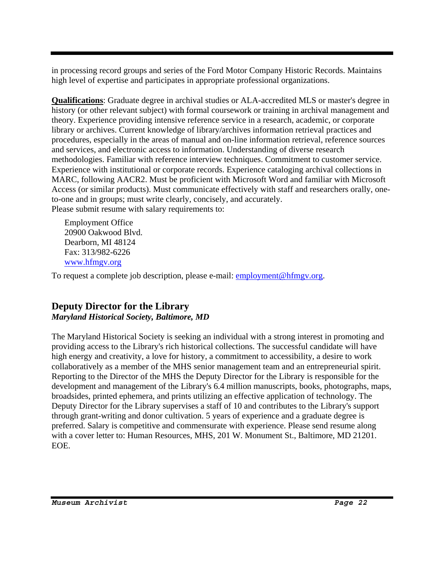in processing record groups and series of the Ford Motor Company Historic Records. Maintains high level of expertise and participates in appropriate professional organizations.

**Qualifications**: Graduate degree in archival studies or ALA-accredited MLS or master's degree in history (or other relevant subject) with formal coursework or training in archival management and theory. Experience providing intensive reference service in a research, academic, or corporate library or archives. Current knowledge of library/archives information retrieval practices and procedures, especially in the areas of manual and on-line information retrieval, reference sources and services, and electronic access to information. Understanding of diverse research methodologies. Familiar with reference interview techniques. Commitment to customer service. Experience with institutional or corporate records. Experience cataloging archival collections in MARC, following AACR2. Must be proficient with Microsoft Word and familiar with Microsoft Access (or similar products). Must communicate effectively with staff and researchers orally, oneto-one and in groups; must write clearly, concisely, and accurately. Please submit resume with salary requirements to:

Employment Office 20900 Oakwood Blvd. Dearborn, MI 48124 Fax: 313/982-6226 www.hfmgv.org

To request a complete job description, please e-mail: **employment@hfmgv.org.** 

# **Deputy Director for the Library**  *Maryland Historical Society, Baltimore, MD*

The Maryland Historical Society is seeking an individual with a strong interest in promoting and providing access to the Library's rich historical collections. The successful candidate will have high energy and creativity, a love for history, a commitment to accessibility, a desire to work collaboratively as a member of the MHS senior management team and an entrepreneurial spirit. Reporting to the Director of the MHS the Deputy Director for the Library is responsible for the development and management of the Library's 6.4 million manuscripts, books, photographs, maps, broadsides, printed ephemera, and prints utilizing an effective application of technology. The Deputy Director for the Library supervises a staff of 10 and contributes to the Library's support through grant-writing and donor cultivation. 5 years of experience and a graduate degree is preferred. Salary is competitive and commensurate with experience. Please send resume along with a cover letter to: Human Resources, MHS, 201 W. Monument St., Baltimore, MD 21201. EOE.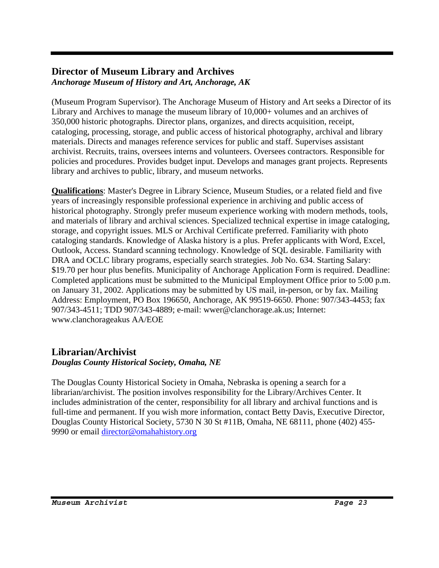### **Director of Museum Library and Archives**  *Anchorage Museum of History and Art, Anchorage, AK*

(Museum Program Supervisor). The Anchorage Museum of History and Art seeks a Director of its Library and Archives to manage the museum library of 10,000+ volumes and an archives of 350,000 historic photographs. Director plans, organizes, and directs acquisition, receipt, cataloging, processing, storage, and public access of historical photography, archival and library materials. Directs and manages reference services for public and staff. Supervises assistant archivist. Recruits, trains, oversees interns and volunteers. Oversees contractors. Responsible for policies and procedures. Provides budget input. Develops and manages grant projects. Represents library and archives to public, library, and museum networks.

**Qualifications**: Master's Degree in Library Science, Museum Studies, or a related field and five years of increasingly responsible professional experience in archiving and public access of historical photography. Strongly prefer museum experience working with modern methods, tools, and materials of library and archival sciences. Specialized technical expertise in image cataloging, storage, and copyright issues. MLS or Archival Certificate preferred. Familiarity with photo cataloging standards. Knowledge of Alaska history is a plus. Prefer applicants with Word, Excel, Outlook, Access. Standard scanning technology. Knowledge of SQL desirable. Familiarity with DRA and OCLC library programs, especially search strategies. Job No. 634. Starting Salary: \$19.70 per hour plus benefits. Municipality of Anchorage Application Form is required. Deadline: Completed applications must be submitted to the Municipal Employment Office prior to 5:00 p.m. on January 31, 2002. Applications may be submitted by US mail, in-person, or by fax. Mailing Address: Employment, PO Box 196650, Anchorage, AK 99519-6650. Phone: 907/343-4453; fax 907/343-4511; TDD 907/343-4889; e-mail: wwer@clanchorage.ak.us; Internet: www.clanchorageakus AA/EOE

# **Librarian/Archivist**

### *Douglas County Historical Society, Omaha, NE*

The Douglas County Historical Society in Omaha, Nebraska is opening a search for a librarian/archivist. The position involves responsibility for the Library/Archives Center. It includes administration of the center, responsibility for all library and archival functions and is full-time and permanent. If you wish more information, contact Betty Davis, Executive Director, Douglas County Historical Society, 5730 N 30 St #11B, Omaha, NE 68111, phone (402) 455- 9990 or email director@omahahistory.org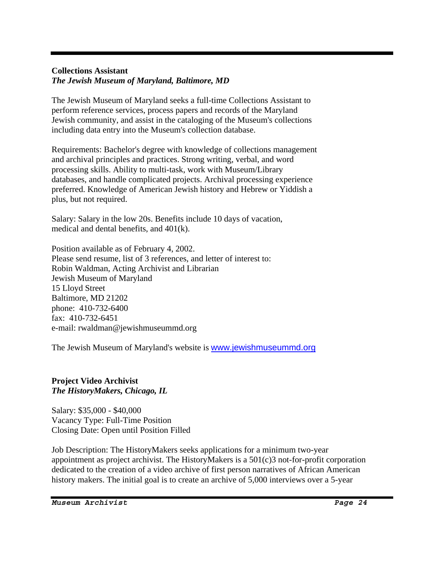#### **Collections Assistant**  *The Jewish Museum of Maryland, Baltimore, MD*

The Jewish Museum of Maryland seeks a full-time Collections Assistant to perform reference services, process papers and records of the Maryland Jewish community, and assist in the cataloging of the Museum's collections including data entry into the Museum's collection database.

Requirements: Bachelor's degree with knowledge of collections management and archival principles and practices. Strong writing, verbal, and word processing skills. Ability to multi-task, work with Museum/Library databases, and handle complicated projects. Archival processing experience preferred. Knowledge of American Jewish history and Hebrew or Yiddish a plus, but not required.

Salary: Salary in the low 20s. Benefits include 10 days of vacation, medical and dental benefits, and 401(k).

Position available as of February 4, 2002. Please send resume, list of 3 references, and letter of interest to: Robin Waldman, Acting Archivist and Librarian Jewish Museum of Maryland 15 Lloyd Street Baltimore, MD 21202 phone: 410-732-6400 fax: 410-732-6451 e-mail: rwaldman@jewishmuseummd.org

The Jewish Museum of Maryland's website is www.jewishmuseummd.org

### **Project Video Archivist**  *The HistoryMakers, Chicago, IL*

Salary: \$35,000 - \$40,000 Vacancy Type: Full-Time Position Closing Date: Open until Position Filled

Job Description: The HistoryMakers seeks applications for a minimum two-year appointment as project archivist. The HistoryMakers is a 501(c)3 not-for-profit corporation dedicated to the creation of a video archive of first person narratives of African American history makers. The initial goal is to create an archive of 5,000 interviews over a 5-year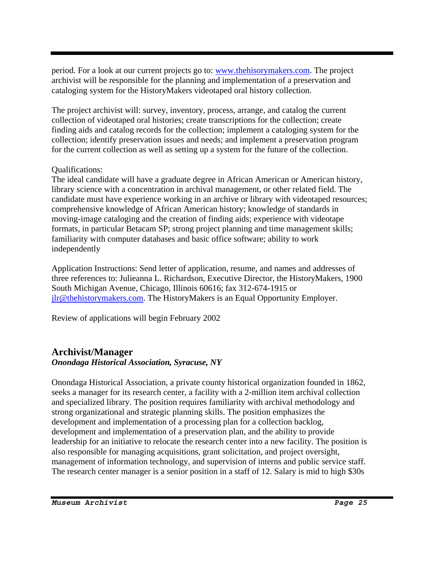period. For a look at our current projects go to: www.thehisorymakers.com. The project archivist will be responsible for the planning and implementation of a preservation and cataloging system for the HistoryMakers videotaped oral history collection.

The project archivist will: survey, inventory, process, arrange, and catalog the current collection of videotaped oral histories; create transcriptions for the collection; create finding aids and catalog records for the collection; implement a cataloging system for the collection; identify preservation issues and needs; and implement a preservation program for the current collection as well as setting up a system for the future of the collection.

### Qualifications:

The ideal candidate will have a graduate degree in African American or American history, library science with a concentration in archival management, or other related field. The candidate must have experience working in an archive or library with videotaped resources; comprehensive knowledge of African American history; knowledge of standards in moving-image cataloging and the creation of finding aids; experience with videotape formats, in particular Betacam SP; strong project planning and time management skills; familiarity with computer databases and basic office software; ability to work independently

Application Instructions: Send letter of application, resume, and names and addresses of three references to: Julieanna L. Richardson, Executive Director, the HistoryMakers, 1900 South Michigan Avenue, Chicago, Illinois 60616; fax 312-674-1915 or jlr@thehistorymakers.com. The HistoryMakers is an Equal Opportunity Employer.

Review of applications will begin February 2002

# **Archivist/Manager**

### *Onondaga Historical Association, Syracuse, NY*

Onondaga Historical Association, a private county historical organization founded in 1862, seeks a manager for its research center, a facility with a 2-million item archival collection and specialized library. The position requires familiarity with archival methodology and strong organizational and strategic planning skills. The position emphasizes the development and implementation of a processing plan for a collection backlog, development and implementation of a preservation plan, and the ability to provide leadership for an initiative to relocate the research center into a new facility. The position is also responsible for managing acquisitions, grant solicitation, and project oversight, management of information technology, and supervision of interns and public service staff. The research center manager is a senior position in a staff of 12. Salary is mid to high \$30s